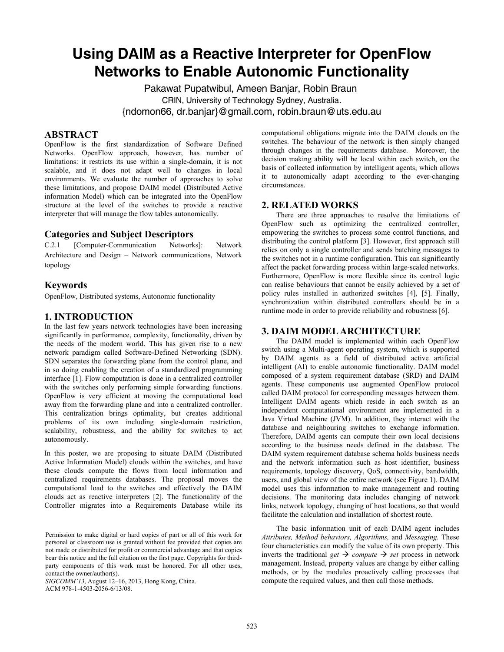# **Using DAIM as a Reactive Interpreter for OpenFlow Networks to Enable Autonomic Functionality**

Pakawat Pupatwibul, Ameen Banjar, Robin Braun CRIN, University of Technology Sydney, Australia. {ndomon66, dr.banjar}@gmail.com, robin.braun@uts.edu.au

#### **ABSTRACT**

OpenFlow is the first standardization of Software Defined Networks. OpenFlow approach, however, has number of limitations: it restricts its use within a single-domain, it is not scalable, and it does not adapt well to changes in local environments. We evaluate the number of approaches to solve these limitations, and propose DAIM model (Distributed Active information Model) which can be integrated into the OpenFlow structure at the level of the switches to provide a reactive interpreter that will manage the flow tables autonomically.

## **Categories and Subject Descriptors**

C.2.1 [Computer-Communication Networks]: Network Architecture and Design – Network communications, Network topology

## **Keywords**

OpenFlow, Distributed systems, Autonomic functionality

#### **1. INTRODUCTION**

In the last few years network technologies have been increasing significantly in performance, complexity, functionality, driven by the needs of the modern world. This has given rise to a new network paradigm called Software-Defined Networking (SDN). SDN separates the forwarding plane from the control plane, and in so doing enabling the creation of a standardized programming interface [1]. Flow computation is done in a centralized controller with the switches only performing simple forwarding functions. OpenFlow is very efficient at moving the computational load away from the forwarding plane and into a centralized controller. This centralization brings optimality, but creates additional problems of its own including single-domain restriction, scalability, robustness, and the ability for switches to act autonomously.

In this poster, we are proposing to situate DAIM (Distributed Active Information Model) clouds within the switches, and have these clouds compute the flows from local information and centralized requirements databases. The proposal moves the computational load to the switches and effectively the DAIM clouds act as reactive interpreters [2]. The functionality of the Controller migrates into a Requirements Database while its

*SIGCOMM'13*, August 12–16, 2013, Hong Kong, China. ACM 978-1-4503-2056-6/13/08.

computational obligations migrate into the DAIM clouds on the switches. The behaviour of the network is then simply changed through changes in the requirements database. Moreover, the decision making ability will be local within each switch, on the basis of collected information by intelligent agents, which allows it to autonomically adapt according to the ever-changing circumstances.

## **2. RELATED WORKS**

There are three approaches to resolve the limitations of OpenFlow such as optimizing the centralized controller, empowering the switches to process some control functions, and distributing the control platform [3]. However, first approach still relies on only a single controller and sends batching messages to the switches not in a runtime configuration. This can significantly affect the packet forwarding process within large-scaled networks. Furthermore, OpenFlow is more flexible since its control logic can realise behaviours that cannot be easily achieved by a set of policy rules installed in authorized switches [4], [5]. Finally, synchronization within distributed controllers should be in a runtime mode in order to provide reliability and robustness [6].

#### **3. DAIM MODEL ARCHITECTURE**

The DAIM model is implemented within each OpenFlow switch using a Multi-agent operating system, which is supported by DAIM agents as a field of distributed active artificial intelligent (AI) to enable autonomic functionality. DAIM model composed of a system requirement database (SRD) and DAIM agents. These components use augmented OpenFlow protocol called DAIM protocol for corresponding messages between them. Intelligent DAIM agents which reside in each switch as an independent computational environment are implemented in a Java Virtual Machine (JVM). In addition, they interact with the database and neighbouring switches to exchange information. Therefore, DAIM agents can compute their own local decisions according to the business needs defined in the database. The DAIM system requirement database schema holds business needs and the network information such as host identifier, business requirements, topology discovery, QoS, connectivity, bandwidth, users, and global view of the entire network (see Figure 1). DAIM model uses this information to make management and routing decisions. The monitoring data includes changing of network links, network topology, changing of host locations, so that would facilitate the calculation and installation of shortest route.

The basic information unit of each DAIM agent includes *Attributes, Method behaviors, Algorithms,* and *Messaging.* These four characteristics can modify the value of its own property. This inverts the traditional *get*  $\rightarrow$  *compute*  $\rightarrow$  *set* process in network management. Instead, property values are change by either calling methods, or by the modules proactively calling processes that compute the required values, and then call those methods.

Permission to make digital or hard copies of part or all of this work for personal or classroom use is granted without fee provided that copies are not made or distributed for profit or commercial advantage and that copies bear this notice and the full citation on the first page. Copyrights for thirdparty components of this work must be honored. For all other uses, contact the owner/author(s).